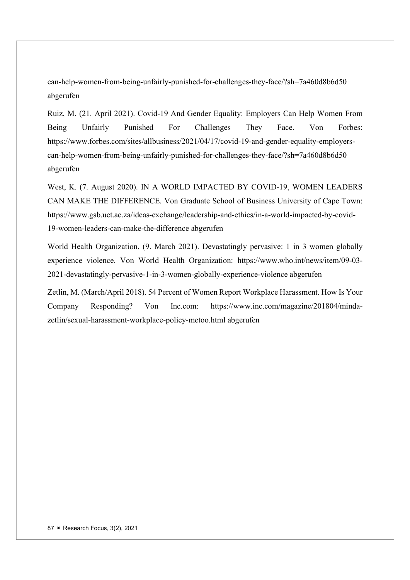can-help-women-from-being-unfairly-punished-for-challenges-they-face/?sh=7a460d8b6d50 abgerufen

Ruiz, M. (21. April 2021). Covid-19 And Gender Equality: Employers Can Help Women From Being Unfairly Punished For Challenges They Face. Von Forbes: https://www.forbes.com/sites/allbusiness/2021/04/17/covid-19-and-gender-equality-employerscan-help-women-from-being-unfairly-punished-for-challenges-they-face/?sh=7a460d8b6d50 abgerufen

West, K. (7. August 2020). IN A WORLD IMPACTED BY COVID-19, WOMEN LEADERS CAN MAKE THE DIFFERENCE. Von Graduate School of Business University of Cape Town: https://www.gsb.uct.ac.za/ideas-exchange/leadership-and-ethics/in-a-world-impacted-by-covid-19-women-leaders-can-make-the-difference abgerufen

World Health Organization. (9. March 2021). Devastatingly pervasive: 1 in 3 women globally experience violence. Von World Health Organization: https://www.who.int/news/item/09-03- 2021-devastatingly-pervasive-1-in-3-women-globally-experience-violence abgerufen

Zetlin, M. (March/April 2018). 54 Percent of Women Report Workplace Harassment. How Is Your Company Responding? Von Inc.com: https://www.inc.com/magazine/201804/mindazetlin/sexual-harassment-workplace-policy-metoo.html abgerufen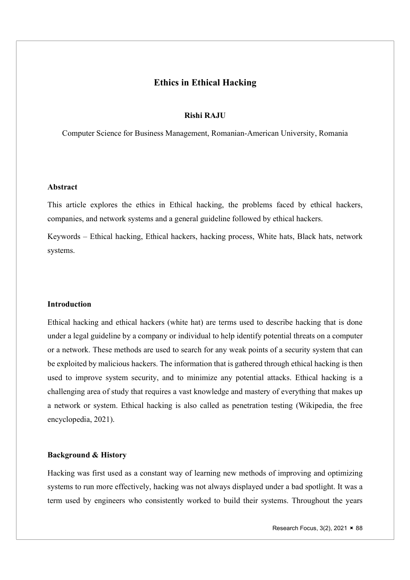# Ethics in Ethical Hacking

# Rishi RAJU

Computer Science for Business Management, Romanian-American University, Romania

## Abstract

This article explores the ethics in Ethical hacking, the problems faced by ethical hackers, companies, and network systems and a general guideline followed by ethical hackers.

Keywords – Ethical hacking, Ethical hackers, hacking process, White hats, Black hats, network systems.

## Introduction

Ethical hacking and ethical hackers (white hat) are terms used to describe hacking that is done under a legal guideline by a company or individual to help identify potential threats on a computer or a network. These methods are used to search for any weak points of a security system that can be exploited by malicious hackers. The information that is gathered through ethical hacking is then used to improve system security, and to minimize any potential attacks. Ethical hacking is a challenging area of study that requires a vast knowledge and mastery of everything that makes up a network or system. Ethical hacking is also called as penetration testing (Wikipedia, the free encyclopedia, 2021).

## Background & History

Hacking was first used as a constant way of learning new methods of improving and optimizing systems to run more effectively, hacking was not always displayed under a bad spotlight. It was a term used by engineers who consistently worked to build their systems. Throughout the years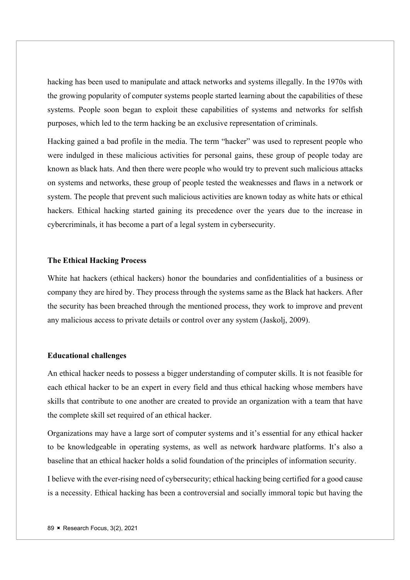hacking has been used to manipulate and attack networks and systems illegally. In the 1970s with the growing popularity of computer systems people started learning about the capabilities of these systems. People soon began to exploit these capabilities of systems and networks for selfish purposes, which led to the term hacking be an exclusive representation of criminals.

Hacking gained a bad profile in the media. The term "hacker" was used to represent people who were indulged in these malicious activities for personal gains, these group of people today are known as black hats. And then there were people who would try to prevent such malicious attacks on systems and networks, these group of people tested the weaknesses and flaws in a network or system. The people that prevent such malicious activities are known today as white hats or ethical hackers. Ethical hacking started gaining its precedence over the years due to the increase in cybercriminals, it has become a part of a legal system in cybersecurity.

# The Ethical Hacking Process

White hat hackers (ethical hackers) honor the boundaries and confidentialities of a business or company they are hired by. They process through the systems same as the Black hat hackers. After the security has been breached through the mentioned process, they work to improve and prevent any malicious access to private details or control over any system (Jaskolj, 2009).

#### Educational challenges

An ethical hacker needs to possess a bigger understanding of computer skills. It is not feasible for each ethical hacker to be an expert in every field and thus ethical hacking whose members have skills that contribute to one another are created to provide an organization with a team that have the complete skill set required of an ethical hacker.

Organizations may have a large sort of computer systems and it's essential for any ethical hacker to be knowledgeable in operating systems, as well as network hardware platforms. It's also a baseline that an ethical hacker holds a solid foundation of the principles of information security.

I believe with the ever-rising need of cybersecurity; ethical hacking being certified for a good cause is a necessity. Ethical hacking has been a controversial and socially immoral topic but having the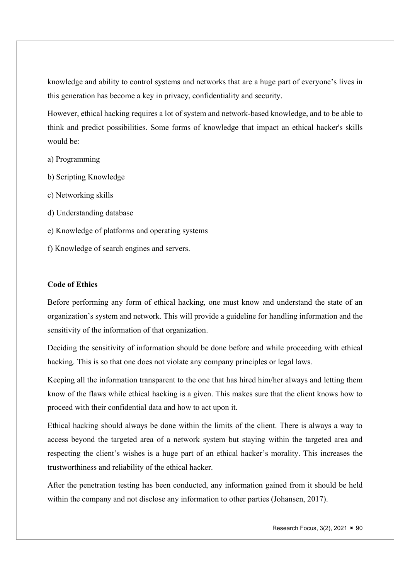knowledge and ability to control systems and networks that are a huge part of everyone's lives in this generation has become a key in privacy, confidentiality and security.

However, ethical hacking requires a lot of system and network-based knowledge, and to be able to think and predict possibilities. Some forms of knowledge that impact an ethical hacker's skills would be:

- a) Programming
- b) Scripting Knowledge
- c) Networking skills
- d) Understanding database
- e) Knowledge of platforms and operating systems
- f) Knowledge of search engines and servers.

# Code of Ethics

Before performing any form of ethical hacking, one must know and understand the state of an organization's system and network. This will provide a guideline for handling information and the sensitivity of the information of that organization.

Deciding the sensitivity of information should be done before and while proceeding with ethical hacking. This is so that one does not violate any company principles or legal laws.

Keeping all the information transparent to the one that has hired him/her always and letting them know of the flaws while ethical hacking is a given. This makes sure that the client knows how to proceed with their confidential data and how to act upon it.

Ethical hacking should always be done within the limits of the client. There is always a way to access beyond the targeted area of a network system but staying within the targeted area and respecting the client's wishes is a huge part of an ethical hacker's morality. This increases the trustworthiness and reliability of the ethical hacker.

After the penetration testing has been conducted, any information gained from it should be held within the company and not disclose any information to other parties (Johansen, 2017).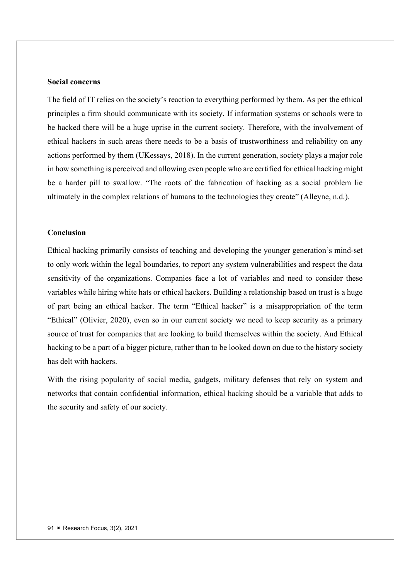# Social concerns

The field of IT relies on the society's reaction to everything performed by them. As per the ethical principles a firm should communicate with its society. If information systems or schools were to be hacked there will be a huge uprise in the current society. Therefore, with the involvement of ethical hackers in such areas there needs to be a basis of trustworthiness and reliability on any actions performed by them (UKessays, 2018). In the current generation, society plays a major role in how something is perceived and allowing even people who are certified for ethical hacking might be a harder pill to swallow. "The roots of the fabrication of hacking as a social problem lie ultimately in the complex relations of humans to the technologies they create" (Alleyne, n.d.).

## Conclusion

Ethical hacking primarily consists of teaching and developing the younger generation's mind-set to only work within the legal boundaries, to report any system vulnerabilities and respect the data sensitivity of the organizations. Companies face a lot of variables and need to consider these variables while hiring white hats or ethical hackers. Building a relationship based on trust is a huge of part being an ethical hacker. The term "Ethical hacker" is a misappropriation of the term "Ethical" (Olivier, 2020), even so in our current society we need to keep security as a primary source of trust for companies that are looking to build themselves within the society. And Ethical hacking to be a part of a bigger picture, rather than to be looked down on due to the history society has delt with hackers.

With the rising popularity of social media, gadgets, military defenses that rely on system and networks that contain confidential information, ethical hacking should be a variable that adds to the security and safety of our society.